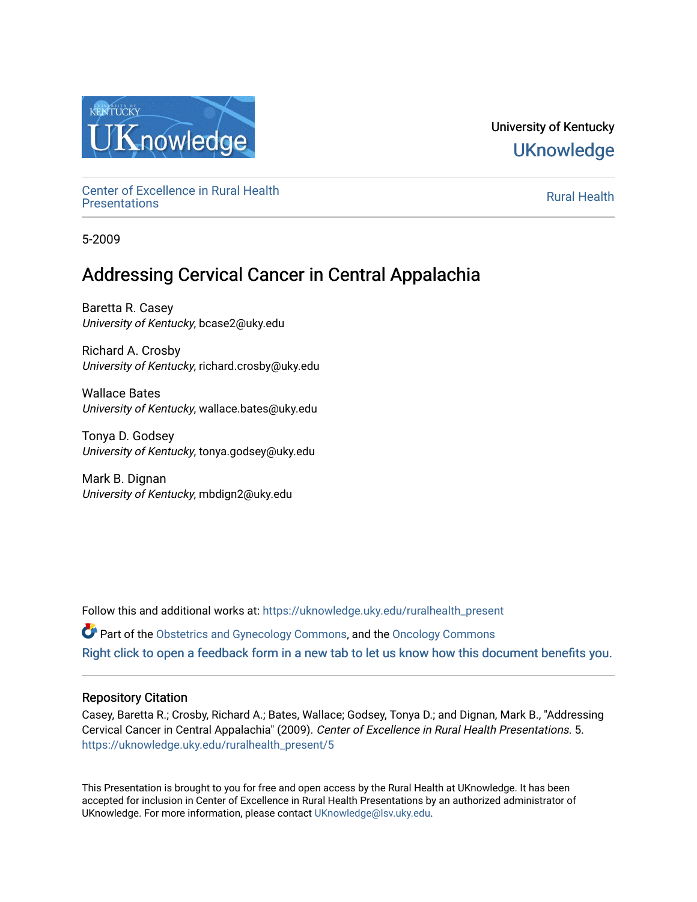

University of Kentucky **UKnowledge** 

Center of Excellence in Rural Health<br>Presentations Definer of Excellence in Kural Health<br>[Presentations](https://uknowledge.uky.edu/ruralhealth_present) **Rural Health** 

5-2009

# Addressing Cervical Cancer in Central Appalachia

Baretta R. Casey University of Kentucky, bcase2@uky.edu

Richard A. Crosby University of Kentucky, richard.crosby@uky.edu

Wallace Bates University of Kentucky, wallace.bates@uky.edu

Tonya D. Godsey University of Kentucky, tonya.godsey@uky.edu

Mark B. Dignan University of Kentucky, mbdign2@uky.edu

Follow this and additional works at: [https://uknowledge.uky.edu/ruralhealth\\_present](https://uknowledge.uky.edu/ruralhealth_present?utm_source=uknowledge.uky.edu%2Fruralhealth_present%2F5&utm_medium=PDF&utm_campaign=PDFCoverPages)  Part of the [Obstetrics and Gynecology Commons,](http://network.bepress.com/hgg/discipline/693?utm_source=uknowledge.uky.edu%2Fruralhealth_present%2F5&utm_medium=PDF&utm_campaign=PDFCoverPages) and the [Oncology Commons](http://network.bepress.com/hgg/discipline/694?utm_source=uknowledge.uky.edu%2Fruralhealth_present%2F5&utm_medium=PDF&utm_campaign=PDFCoverPages) [Right click to open a feedback form in a new tab to let us know how this document benefits you.](https://uky.az1.qualtrics.com/jfe/form/SV_9mq8fx2GnONRfz7)

### Repository Citation

Casey, Baretta R.; Crosby, Richard A.; Bates, Wallace; Godsey, Tonya D.; and Dignan, Mark B., "Addressing Cervical Cancer in Central Appalachia" (2009). Center of Excellence in Rural Health Presentations. 5. [https://uknowledge.uky.edu/ruralhealth\\_present/5](https://uknowledge.uky.edu/ruralhealth_present/5?utm_source=uknowledge.uky.edu%2Fruralhealth_present%2F5&utm_medium=PDF&utm_campaign=PDFCoverPages) 

This Presentation is brought to you for free and open access by the Rural Health at UKnowledge. It has been accepted for inclusion in Center of Excellence in Rural Health Presentations by an authorized administrator of UKnowledge. For more information, please contact [UKnowledge@lsv.uky.edu](mailto:UKnowledge@lsv.uky.edu).